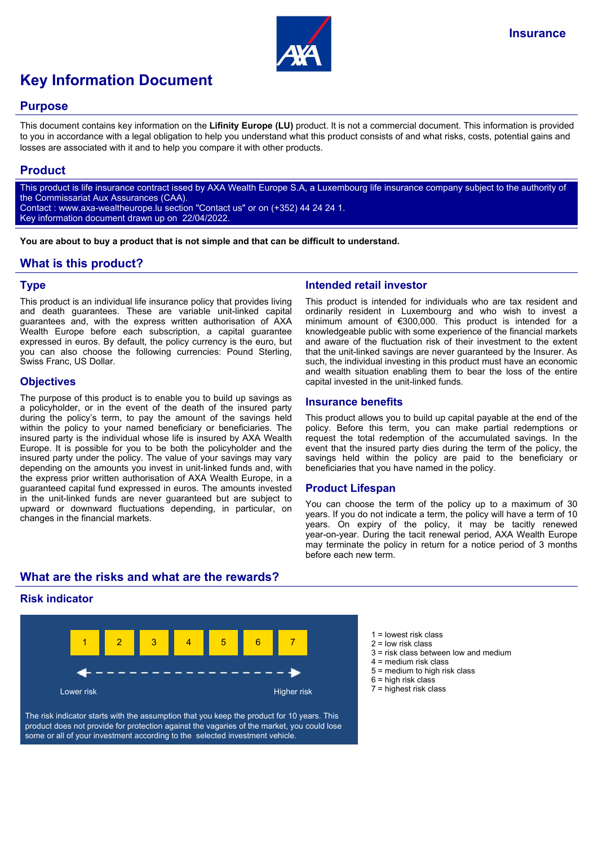

# **Key Information Document**

#### **Purpose**

This document contains key information on the **Lifinity Europe (LU)** product. It is not a commercial document. This information is provided to you in accordance with a legal obligation to help you understand what this product consists of and what risks, costs, potential gains and losses are associated with it and to help you compare it with other products.

## **Product**

This product is life insurance contract issed by AXA Wealth Europe S.A, a Luxembourg life insurance company subject to the authority of the Commissariat Aux Assurances (CAA). Contact : www.axa-wealtheurope.lu section "Contact us" or on (+352) 44 24 24 1. Key information document drawn up on 22/04/2022.

**You are about to buy a product that is not simple and that can be difficult to understand.**

# **What is this product?**

## **Type**

This product is an individual life insurance policy that provides living and death guarantees. These are variable unit-linked capital guarantees and, with the express written authorisation of AXA Wealth Europe before each subscription, a capital guarantee expressed in euros. By default, the policy currency is the euro, but you can also choose the following currencies: Pound Sterling, Swiss Franc, US Dollar.

## **Objectives**

The purpose of this product is to enable you to build up savings as a policyholder, or in the event of the death of the insured party during the policy's term, to pay the amount of the savings held within the policy to your named beneficiary or beneficiaries. The insured party is the individual whose life is insured by AXA Wealth Europe. It is possible for you to be both the policyholder and the insured party under the policy. The value of your savings may vary depending on the amounts you invest in unit-linked funds and, with the express prior written authorisation of AXA Wealth Europe, in a guaranteed capital fund expressed in euros. The amounts invested in the unit-linked funds are never guaranteed but are subject to upward or downward fluctuations depending, in particular, on changes in the financial markets.

## **Intended retail investor**

This product is intended for individuals who are tax resident and ordinarily resident in Luxembourg and who wish to invest a minimum amount of €300,000. This product is intended for a knowledgeable public with some experience of the financial markets and aware of the fluctuation risk of their investment to the extent that the unit-linked savings are never guaranteed by the Insurer. As such, the individual investing in this product must have an economic and wealth situation enabling them to bear the loss of the entire capital invested in the unit-linked funds.

#### **Insurance benefits**

This product allows you to build up capital payable at the end of the policy. Before this term, you can make partial redemptions or request the total redemption of the accumulated savings. In the event that the insured party dies during the term of the policy, the savings held within the policy are paid to the beneficiary or beneficiaries that you have named in the policy.

#### **Product Lifespan**

You can choose the term of the policy up to a maximum of 30 years. If you do not indicate a term, the policy will have a term of 10 years. On expiry of the policy, it may be tacitly renewed year-on-year. During the tacit renewal period, AXA Wealth Europe may terminate the policy in return for a notice period of 3 months before each new term.

# **What are the risks and what are the rewards?**

## **Risk indicator**



The risk indicator starts with the assumption that you keep the product for 10 years. This product does not provide for protection against the vagaries of the market, you could lose some or all of your investment according to the selected investment vehicle.

- $1 =$  lowest risk class
- 2 = low risk class
- $3$  = risk class between low and medium
- 4 = medium risk class
- 5 = medium to high risk class
- $6$  = high risk class
- 7 = highest risk class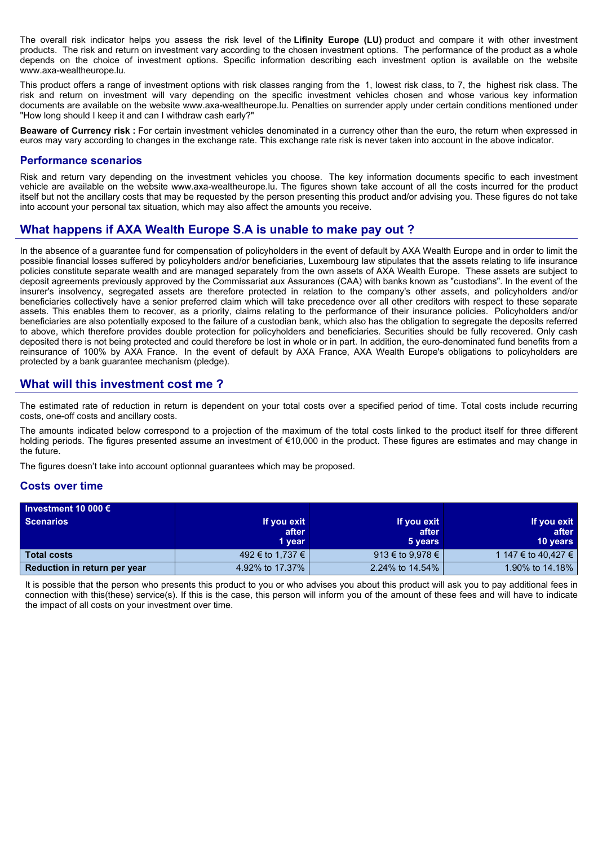The overall risk indicator helps you assess the risk level of the **Lifinity Europe (LU)** product and compare it with other investment products. The risk and return on investment vary according to the chosen investment options. The performance of the product as a whole depends on the choice of investment options. Specific information describing each investment option is available on the website www.axa-wealtheurope.lu.

This product offers a range of investment options with risk classes ranging from the 1, lowest risk class, to 7, the highest risk class. The risk and return on investment will vary depending on the specific investment vehicles chosen and whose various key information documents are available on the website www.axa-wealtheurope.lu. Penalties on surrender apply under certain conditions mentioned under "How long should I keep it and can I withdraw cash early?"

**Beaware of Currency risk :** For certain investment vehicles denominated in a currency other than the euro, the return when expressed in euros may vary according to changes in the exchange rate. This exchange rate risk is never taken into account in the above indicator.

#### **Performance scenarios**

Risk and return vary depending on the investment vehicles you choose. The key information documents specific to each investment vehicle are available on the website www.axa-wealtheurope.lu. The figures shown take account of all the costs incurred for the product itself but not the ancillary costs that may be requested by the person presenting this product and/or advising you. These figures do not take into account your personal tax situation, which may also affect the amounts you receive.

# **What happens if AXA Wealth Europe S.A is unable to make pay out ?**

In the absence of a guarantee fund for compensation of policyholders in the event of default by AXA Wealth Europe and in order to limit the possible financial losses suffered by policyholders and/or beneficiaries, Luxembourg law stipulates that the assets relating to life insurance policies constitute separate wealth and are managed separately from the own assets of AXA Wealth Europe. These assets are subject to deposit agreements previously approved by the Commissariat aux Assurances (CAA) with banks known as "custodians". In the event of the insurer's insolvency, segregated assets are therefore protected in relation to the company's other assets, and policyholders and/or beneficiaries collectively have a senior preferred claim which will take precedence over all other creditors with respect to these separate assets. This enables them to recover, as a priority, claims relating to the performance of their insurance policies. Policyholders and/or beneficiaries are also potentially exposed to the failure of a custodian bank, which also has the obligation to segregate the deposits referred to above, which therefore provides double protection for policyholders and beneficiaries. Securities should be fully recovered. Only cash deposited there is not being protected and could therefore be lost in whole or in part. In addition, the euro-denominated fund benefits from a reinsurance of 100% by AXA France. In the event of default by AXA France, AXA Wealth Europe's obligations to policyholders are protected by a bank guarantee mechanism (pledge).

## **What will this investment cost me ?**

The estimated rate of reduction in return is dependent on your total costs over a specified period of time. Total costs include recurring costs, one-off costs and ancillary costs.

The amounts indicated below correspond to a projection of the maximum of the total costs linked to the product itself for three different holding periods. The figures presented assume an investment of €10,000 in the product. These figures are estimates and may change in the future.

The figures doesn't take into account optionnal guarantees which may be proposed.

#### **Costs over time**

| Investment 10 000 $\epsilon$ |                  |                  |                     |
|------------------------------|------------------|------------------|---------------------|
| <b>Scenarios</b>             | If you exit      | If you exit      | If you exit         |
|                              | after            | after            | after               |
|                              | 1 year           | 5 years          | <b>10 years</b>     |
| <b>Total costs</b>           | 492 € to 1,737 € | 913 € to 9,978 € | 1 147 € to 40.427 € |
| Reduction in return per year | 4.92% to 17.37%  | 2.24% to 14.54%  | 1.90% to 14.18%     |

It is possible that the person who presents this product to you or who advises you about this product will ask you to pay additional fees in connection with this(these) service(s). If this is the case, this person will inform you of the amount of these fees and will have to indicate the impact of all costs on your investment over time.